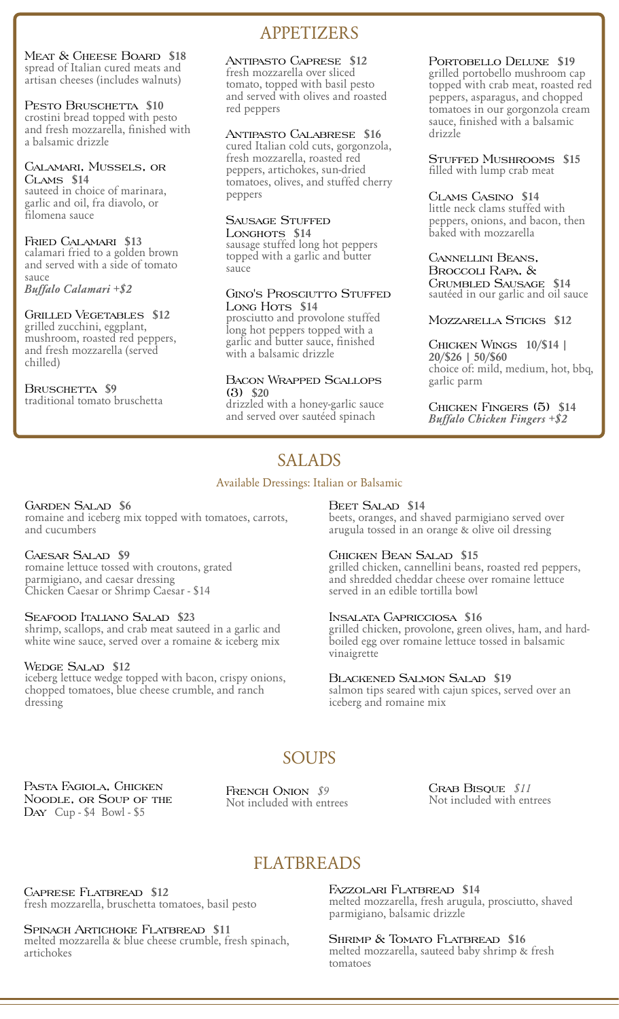Meat & Cheese Board **\$18** spread of Italian cured meats and artisan cheeses (includes walnuts)

### PESTO BRUSCHETTA \$10

crostini bread topped with pesto and fresh mozzarella, finished with a balsamic drizzle

#### Calamari, Mussels, or Clams **\$14**

sauteed in choice of marinara, garlic and oil, fra diavolo, or filomena sauce

#### Fried Calamari **\$13**

calamari fried to a golden brown and served with a side of tomato sauce

*Buffalo Calamari +\$2*

#### Grilled Vegetables **\$12**

grilled zucchini, eggplant, mushroom, roasted red peppers, and fresh mozzarella (served chilled)

#### BRUSCHETTA **\$9** traditional tomato bruschetta

# APPETIZERS

### Antipasto Caprese **\$12**

fresh mozzarella over sliced tomato, topped with basil pesto and served with olives and roasted red peppers

#### Antipasto Calabrese **\$16**

cured Italian cold cuts, gorgonzola, fresh mozzarella, roasted red peppers, artichokes, sun-dried tomatoes, olives, and stuffed cherry peppers

### Sausage Stuffed

Longhots **\$14** sausage stuffed long hot peppers topped with a garlic and butter sauce

#### GINO'S PROSCIUTTO STUFFED Long Hots<sub>, \$14</sub>

prosciutto and provolone stuffed long hot peppers topped with a garlic and butter sauce, finished with a balsamic drizzle

#### Bacon Wrapped Scallops (3) **\$20**

drizzled with a honey-garlic sauce and served over sautéed spinach

#### Portobello Deluxe **\$19** grilled portobello mushroom cap topped with crab meat, roasted red peppers, asparagus, and chopped tomatoes in our gorgonzola cream sauce, finished with a balsamic drizzle

Stuffed Mushrooms **\$15** filled with lump crab meat

#### Clams Casino **\$14**

little neck clams stuffed with peppers, onions, and bacon, then baked with mozzarella

#### Cannellini Beans, Broccoli Rapa, & Crumbled Sausage **\$14** sautéed in our garlic and oil sauce

#### Mozzarella Sticks **\$12**

#### Chicken Wings **10/\$14 | 20/\$26 | 50/\$60** choice of: mild, medium, hot, bbq, garlic parm

Chicken Fingers (5) **\$14** *Buffalo Chicken Fingers +\$2*

# SALADS

### Available Dressings: Italian or Balsamic

### Garden Salad **\$6**

romaine and iceberg mix topped with tomatoes, carrots, and cucumbers

### Caesar Salad **\$9**

romaine lettuce tossed with croutons, grated parmigiano, and caesar dressing Chicken Caesar or Shrimp Caesar - \$14

#### Seafood Italiano Salad **\$23**

shrimp, scallops, and crab meat sauteed in a garlic and white wine sauce, served over a romaine & iceberg mix

#### Wedge Salad **\$12**

iceberg lettuce wedge topped with bacon, crispy onions, chopped tomatoes, blue cheese crumble, and ranch dressing

#### Beet Salad **\$14**

beets, oranges, and shaved parmigiano served over arugula tossed in an orange & olive oil dressing

### Chicken Bean Salad **\$15**

grilled chicken, cannellini beans, roasted red peppers, and shredded cheddar cheese over romaine lettuce served in an edible tortilla bowl

#### Insalata Capricciosa **\$16**

grilled chicken, provolone, green olives, ham, and hardboiled egg over romaine lettuce tossed in balsamic vinaigrette

#### Blackened Salmon Salad **\$19**

salmon tips seared with cajun spices, served over an iceberg and romaine mix

# SOUPS<sub>1</sub>

Pasta Fagiola, Chicken Noodle, or Soup of the Day Cup - \$4 Bowl - \$5

FRENCH ONION  $$9$ Not included with entrees Crab Bisque *\$11* Not included with entrees

# FLATBREADS

Caprese Flatbread **\$12** fresh mozzarella, bruschetta tomatoes, basil pesto

### Spinach Artichoke Flatbread **\$11**

melted mozzarella & blue cheese crumble, fresh spinach, artichokes

Fazzolari Flatbread **\$14** melted mozzarella, fresh arugula, prosciutto, shaved parmigiano, balsamic drizzle

Shrimp & Tomato Flatbread **\$16** melted mozzarella, sauteed baby shrimp & fresh tomatoes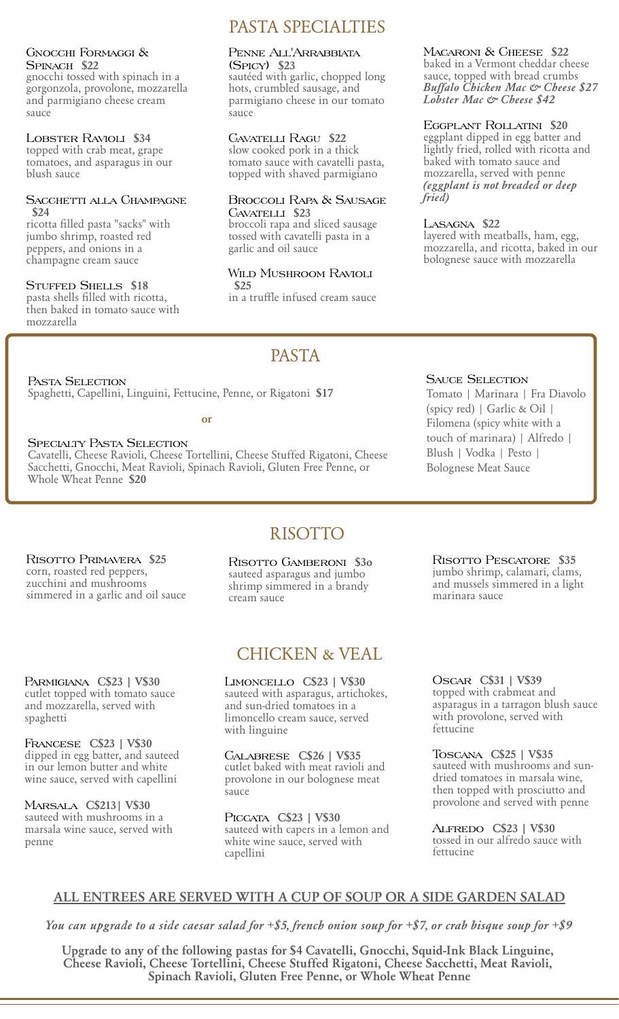#### Gnocchi Formaggi & Spinach **\$22**

gnocchi tossed with spinach in a gorgonzola, provolone, mozzarella and parmigiano cheese cream sauce

#### Lobster Ravioli **\$34**

topped with crab meat, grape tomatoes, and asparagus in our blush sauce

#### Sacchetti alla Champagne **\$24**

ricotta filled pasta "sacks" with jumbo shrimp, roasted red peppers, and onions in a champagne cream sauce

### Stuffed Shells **\$18**

pasta shells filled with ricotta, then baked in tomato sauce with mozzarella

# PASTA SPECIALTIES

#### Penne All'Arrabbiata (Spicy) **\$23**

sautéed with garlic, chopped long hots, crumbled sausage, and parmigiano cheese in our tomato sauce

### Cavatelli Ragu **\$22**

slow cooked pork in a thick tomato sauce with cavatelli pasta, topped with shaved parmigiano

#### Broccoli Rapa & Sausage Cavatelli **\$23**

broccoli rapa and sliced sausage tossed with cavatelli pasta in a garlic and oil sauce

#### Wild Mushroom Ravioli **\$25**

in a truffle infused cream sauce

PASTA

Macaroni & Cheese **\$22** baked in a Vermont cheddar cheese sauce, topped with bread crumbs *Buffalo Chicken Mac & Cheese \$27 Lobster Mac & Cheese \$42*

### Eggplant Rollatini **\$20**

eggplant dipped in egg batter and lightly fried, rolled with ricotta and baked with tomato sauce and mozzarella, served with penne *(eggplant is not breaded or deep fried)*

#### Lasagna **\$22**

layered with meatballs, ham, egg, mozzarella, and ricotta, baked in our bolognese sauce with mozzarella

PASTA SELECTION Spaghetti, Capellini, Linguini, Fettucine, Penne, or Rigatoni **\$17**

**or**

# Specialty Pasta Selection

Cavatelli, Cheese Ravioli, Cheese Tortellini, Cheese Stuffed Rigatoni, Cheese Sacchetti, Gnocchi, Meat Ravioli, Spinach Ravioli, Gluten Free Penne, or Whole Wheat Penne **\$20**

### SAUCE SELECTION

Tomato | Marinara | Fra Diavolo (spicy red) | Garlic & Oil | Filomena (spicy white with a touch of marinara) | Alfredo | Blush | Vodka | Pesto | Bolognese Meat Sauce

# RISOTTO

Risotto Primavera **\$25** corn, roasted red peppers, zucchini and mushrooms simmered in a garlic and oil sauce

Parmigiana **C\$23 | V\$30** cutlet topped with tomato sauce and mozzarella, served with spaghetti

Francese **C\$23 | V\$30** dipped in egg batter, and sauteed in our lemon butter and white wine sauce, served with capellini

Marsala **C\$213| V\$30** sauteed with mushrooms in a marsala wine sauce, served with penne

Risotto Gamberoni **\$3o** sauteed asparagus and jumbo shrimp simmered in a brandy cream sauce

# CHICKEN & VEAL

Limoncello **C\$23 | V\$30** sauteed with asparagus, artichokes, and sun-dried tomatoes in a limoncello cream sauce, served with linguine

Calabrese **C\$26 | V\$35** cutlet baked with meat ravioli and provolone in our bolognese meat sauce

Piccata **C\$23 | V\$30** sauteed with capers in a lemon and white wine sauce, served with capellini

Risotto Pescatore **\$35** jumbo shrimp, calamari, clams, and mussels simmered in a light marinara sauce

Oscar **C\$31 | V\$39** topped with crabmeat and asparagus in a tarragon blush sauce with provolone, served with fettucine

Toscana **C\$25 | V\$35** sauteed with mushrooms and sundried tomatoes in marsala wine, then topped with prosciutto and provolone and served with penne

Alfredo **C\$23 | V\$30** tossed in our alfredo sauce with fettucine

# **ALL ENTREES ARE SERVED WITH A CUP OF SOUP OR A SIDE GARDEN SALAD**

*You can upgrade to a side caesar salad for +\$5, french onion soup for +\$7, or crab bisque soup for +\$9*

**Upgrade to any of the following pastas for \$4 Cavatelli, Gnocchi, Squid-Ink Black Linguine, Cheese Ravioli, Cheese Tortellini, Cheese Stuffed Rigatoni, Cheese Sacchetti, Meat Ravioli, Spinach Ravioli, Gluten Free Penne, or Whole Wheat Penne**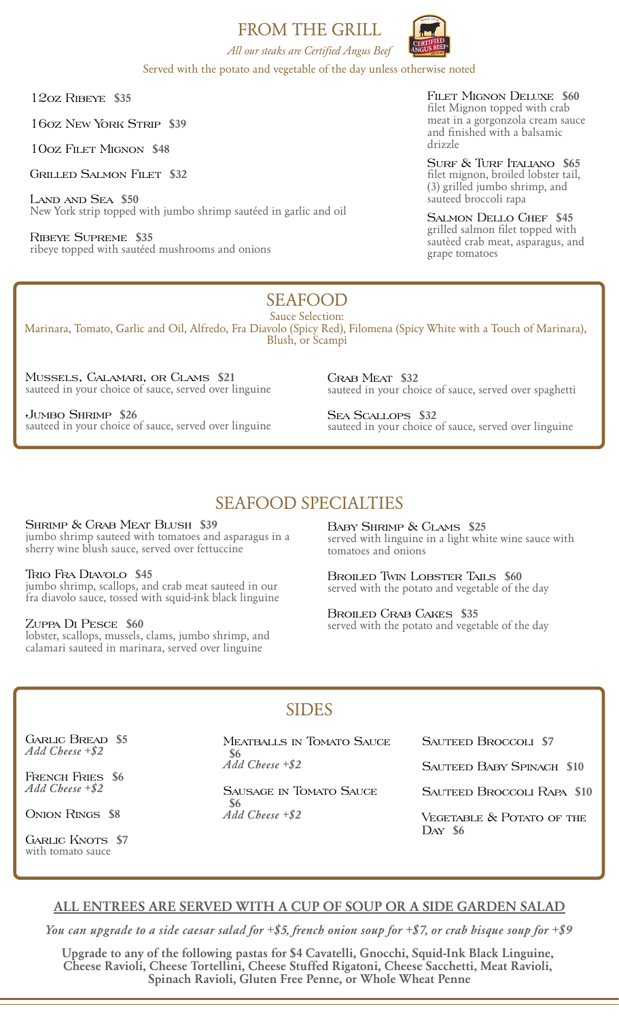FROM THE GRILL



*All our steaks are Certified Angus Beef* Served with the potato and vegetable of the day unless otherwise noted

12oz Ribeye **\$35**

16oz New York Strip **\$39**

10oz Filet Mignon **\$48**

Grilled Salmon Filet **\$32**

Land and Sea **\$50** New York strip topped with jumbo shrimp sautéed in garlic and oil

Ribeye Supreme **\$35** ribeye topped with sautéed mushrooms and onions Filet Mignon Deluxe **\$60** filet Mignon topped with crab meat in a gorgonzola cream sauce and finished with a balsamic drizzle

Surf & Turf Italiano **\$65** filet mignon, broiled lobster tail, (3) grilled jumbo shrimp, and sauteed broccoli rapa

Salmon Dello Chef **\$45** grilled salmon filet topped with sautèed crab meat, asparagus, and grape tomatoes

#### Sauce Selection: SEAFOOD

Marinara, Tomato, Garlic and Oil, Alfredo, Fra Diavolo (Spicy Red), Filomena (Spicy White with a Touch of Marinara), Blush, or Scampi

Mussels, Calamari, or Clams **\$21** sauteed in your choice of sauce, served over linguine

Jumbo Shrimp **\$26** sauteed in your choice of sauce, served over linguine Crab Meat **\$32** sauteed in your choice of sauce, served over spaghetti

Sea Scallops **\$32** sauteed in your choice of sauce, served over linguine

# SEAFOOD SPECIALTIES

Shrimp & Crab Meat Blush **\$39** jumbo shrimp sauteed with tomatoes and asparagus in a sherry wine blush sauce, served over fettuccine

Trio Fra Diavolo **\$45** jumbo shrimp, scallops, and crab meat sauteed in our fra diavolo sauce, tossed with squid-ink black linguine

#### Zuppa Di Pesce **\$60**

lobster, scallops, mussels, clams, jumbo shrimp, and calamari sauteed in marinara, served over linguine

Baby Shrimp & Clams **\$25** served with linguine in a light white wine sauce with tomatoes and onions

Broiled Twin Lobster Tails **\$60** served with the potato and vegetable of the day

Broiled Crab Cakes **\$35** served with the potato and vegetable of the day

# SIDES

Garlic Bread **\$5** *Add Cheese +\$2*

French Fries **\$6** *Add Cheese +\$2*

Onion Rings **\$8**

GARLIC KNOTS \$7 with tomato sauce

Meatballs in Tomato Sauce **\$6** *Add Cheese +\$2*

Sausage in Tomato Sauce **\$6** *Add Cheese +\$2*

Sauteed Broccoli **\$7**

Sauteed Baby Spinach **\$10**

Sauteed Broccoli Rapa **\$10**

VEGETABLE & POTATO OF THE Day **\$6**

# **ALL ENTREES ARE SERVED WITH A CUP OF SOUP OR A SIDE GARDEN SALAD**

*You can upgrade to a side caesar salad for +\$5, french onion soup for +\$7, or crab bisque soup for +\$9*

**Upgrade to any of the following pastas for \$4 Cavatelli, Gnocchi, Squid-Ink Black Linguine, Cheese Ravioli, Cheese Tortellini, Cheese Stuffed Rigatoni, Cheese Sacchetti, Meat Ravioli, Spinach Ravioli, Gluten Free Penne, or Whole Wheat Penne**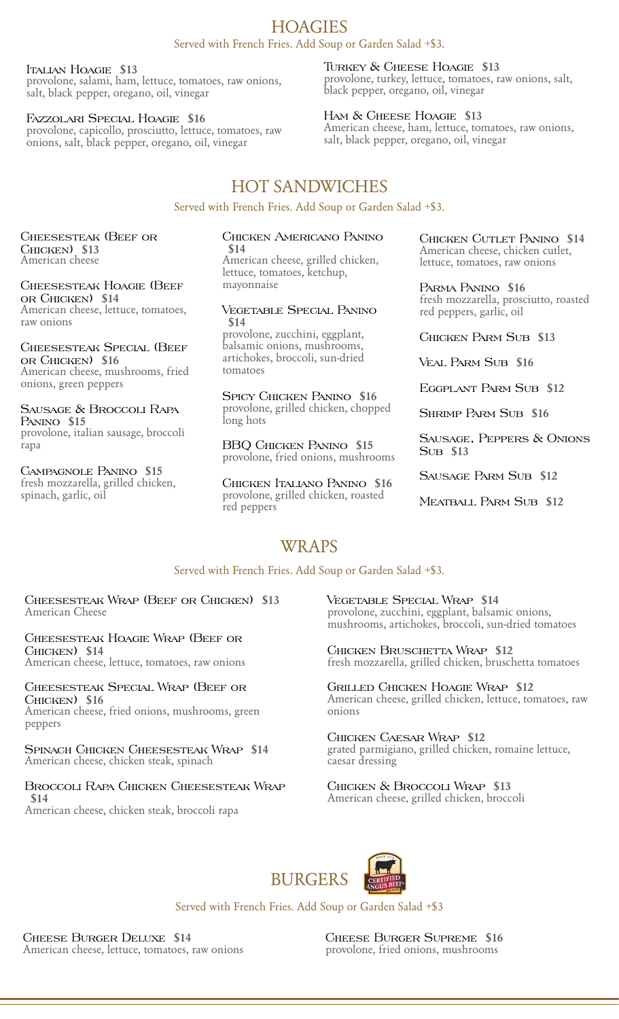### Served with French Fries. Add Soup or Garden Salad +\$3. **HOAGIES**

Italian Hoagie **\$13**

provolone, salami, ham, lettuce, tomatoes, raw onions, salt, black pepper, oregano, oil, vinegar

Fazzolari Special Hoagie **\$16**

provolone, capicollo, prosciutto, lettuce, tomatoes, raw onions, salt, black pepper, oregano, oil, vinegar

### Turkey & Cheese Hoagie **\$13**

provolone, turkey, lettuce, tomatoes, raw onions, salt, black pepper, oregano, oil, vinegar

#### Ham & Cheese Hoagie **\$13**

American cheese, ham, lettuce, tomatoes, raw onions, salt, black pepper, oregano, oil, vinegar

# HOT SANDWICHES

Served with French Fries. Add Soup or Garden Salad +\$3.

Cheesesteak (Beef or Chicken) **\$13** American cheese

Cheesesteak Hoagie (Beef or Chicken) **\$14** American cheese, lettuce, tomatoes, raw onions

Cheesesteak Special (Beef or Chicken) **\$16** American cheese, mushrooms, fried onions, green peppers

Sausage & Broccoli Rapa Panino **\$15** provolone, italian sausage, broccoli rapa

Campagnole Panino **\$15** fresh mozzarella, grilled chicken, spinach, garlic, oil

#### Chicken Americano Panino **\$14**

American cheese, grilled chicken, lettuce, tomatoes, ketchup, mayonnaise

#### Vegetable Special Panino **\$14**

provolone, zucchini, eggplant, balsamic onions, mushrooms, artichokes, broccoli, sun-dried tomatoes

Spicy Chicken Panino **\$16** provolone, grilled chicken, chopped long hots

BBQ Chicken Panino **\$15** provolone, fried onions, mushrooms

Chicken Italiano Panino **\$16** provolone, grilled chicken, roasted red peppers

Chicken Cutlet Panino **\$14** American cheese, chicken cutlet, lettuce, tomatoes, raw onions

Parma Panino **\$16** fresh mozzarella, prosciutto, roasted red peppers, garlic, oil

Chicken Parm Sub **\$13**

Veal Parm Sub **\$16**

Eggplant Parm Sub **\$12**

Shrimp Parm Sub **\$16**

Sausage, Peppers & Onions Sub **\$13**

Sausage Parm Sub **\$12**

Meatball Parm Sub **\$12**

# WRAPS

### Served with French Fries. Add Soup or Garden Salad +\$3.

Cheesesteak Wrap (Beef or Chicken) **\$13** American Cheese

Cheesesteak Hoagie Wrap (Beef or Chicken) **\$14** American cheese, lettuce, tomatoes, raw onions

Cheesesteak Special Wrap (Beef or

Chicken) **\$16** American cheese, fried onions, mushrooms, green peppers

Spinach Chicken Cheesesteak Wrap **\$14** American cheese, chicken steak, spinach

#### Broccoli Rapa Chicken Cheesesteak Wrap **\$14**

American cheese, chicken steak, broccoli rapa

Vegetable Special Wrap **\$14** provolone, zucchini, eggplant, balsamic onions, mushrooms, artichokes, broccoli, sun-dried tomatoes

Chicken Bruschetta Wrap **\$12** fresh mozzarella, grilled chicken, bruschetta tomatoes

Grilled Chicken Hoagie Wrap **\$12** American cheese, grilled chicken, lettuce, tomatoes, raw onions

Chicken Caesar Wrap **\$12** grated parmigiano, grilled chicken, romaine lettuce, caesar dressing

Chicken & Broccoli Wrap **\$13** American cheese, grilled chicken, broccoli



Served with French Fries. Add Soup or Garden Salad +\$3

Cheese Burger Deluxe **\$14** American cheese, lettuce, tomatoes, raw onions Cheese Burger Supreme **\$16** provolone, fried onions, mushrooms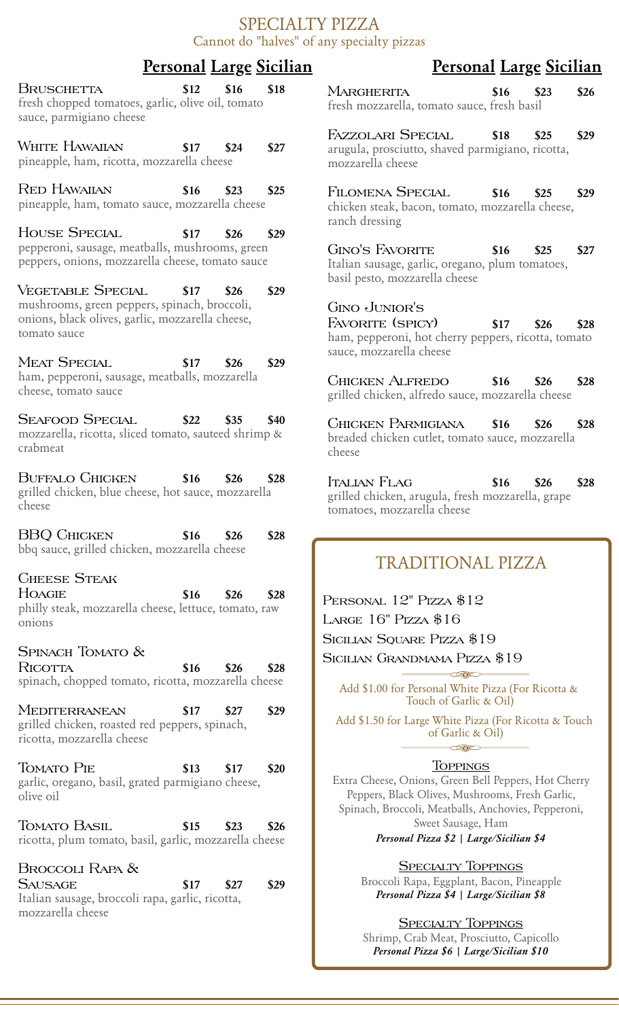# **Personal Large Sicilian Personal Large Sicilian**

Bruschetta **\$12 \$16 \$18** fresh chopped tomatoes, garlic, olive oil, tomato sauce, parmigiano cheese

White Hawaiian **\$17 \$24 \$27** pineapple, ham, ricotta, mozzarella cheese

Red Hawaiian **\$16 \$23 \$25** pineapple, ham, tomato sauce, mozzarella cheese

House Special **\$17 \$26 \$29** pepperoni, sausage, meatballs, mushrooms, green peppers, onions, mozzarella cheese, tomato sauce

Vegetable Special **\$17 \$26 \$29** mushrooms, green peppers, spinach, broccoli, onions, black olives, garlic, mozzarella cheese, tomato sauce

Meat Special **\$17 \$26 \$29** ham, pepperoni, sausage, meatballs, mozzarella cheese, tomato sauce

Seafood Special **\$22 \$35 \$40** mozzarella, ricotta, sliced tomato, sauteed shrimp & crabmeat

Buffalo Chicken **\$16 \$26 \$28** grilled chicken, blue cheese, hot sauce, mozzarella cheese

BBQ Chicken **\$16 \$26 \$28** bbq sauce, grilled chicken, mozzarella cheese

Cheese Steak Hoagie **\$16 \$26 \$28** philly steak, mozzarella cheese, lettuce, tomato, raw onions

#### SPINACH TOMATO &

Ricotta **\$16 \$26 \$28** spinach, chopped tomato, ricotta, mozzarella cheese

Mediterranean **\$17 \$27 \$29** grilled chicken, roasted red peppers, spinach, ricotta, mozzarella cheese

Tomato Pie **\$13 \$17 \$20** garlic, oregano, basil, grated parmigiano cheese, olive oil

Tomato Basil **\$15 \$23 \$26** ricotta, plum tomato, basil, garlic, mozzarella cheese

Broccoli Rapa & Sausage **\$17 \$27 \$29** Italian sausage, broccoli rapa, garlic, ricotta, mozzarella cheese

Margherita **\$16 \$23 \$26** fresh mozzarella, tomato sauce, fresh basil

Fazzolari Special **\$18 \$25 \$29** arugula, prosciutto, shaved parmigiano, ricotta, mozzarella cheese

Filomena Special **\$16 \$25 \$29** chicken steak, bacon, tomato, mozzarella cheese, ranch dressing

Gino's Favorite **\$16 \$25 \$27** Italian sausage, garlic, oregano, plum tomatoes, basil pesto, mozzarella cheese

# Gino Junior's

Favorite (spicy) **\$17 \$26 \$28** ham, pepperoni, hot cherry peppers, ricotta, tomato sauce, mozzarella cheese

Chicken Alfredo **\$16 \$26 \$28** grilled chicken, alfredo sauce, mozzarella cheese

Chicken Parmigiana **\$16 \$26 \$28** breaded chicken cutlet, tomato sauce, mozzarella cheese

Italian Flag **\$16 \$26 \$28** grilled chicken, arugula, fresh mozzarella, grape tomatoes, mozzarella cheese

# TRADITIONAL PIZZA

PERSONAL 12" PIZZA \$12 LARGE 16" PIZZA \$16 Sicilian Square Pizza \$19 Sicilian Grandmama Pizza \$19

Add \$1.00 for Personal White Pizza (For Ricotta & Touch of Garlic & Oil)

 $\sim$ 

Add \$1.50 for Large White Pizza (For Ricotta & Touch of Garlic & Oil)  $> 0$ 

### **TOPPINGS**

Extra Cheese, Onions, Green Bell Peppers, Hot Cherry Peppers, Black Olives, Mushrooms, Fresh Garlic, Spinach, Broccoli, Meatballs, Anchovies, Pepperoni, Sweet Sausage, Ham

*Personal Pizza \$2 | Large/Sicilian \$4*

**SPECIALTY TOPPINGS** Broccoli Rapa, Eggplant, Bacon, Pineapple *Personal Pizza \$4 | Large/Sicilian \$8*

# **SPECIALTY TOPPINGS**

Shrimp, Crab Meat, Prosciutto, Capicollo *Personal Pizza \$6 | Large/Sicilian \$10*